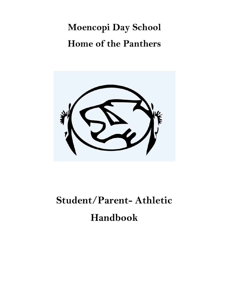# **Moencopi Day School Home of the Panthers**



# **Student/Parent- Athletic Handbook**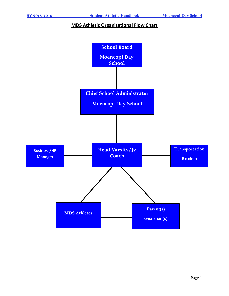## **MDS Athletic Organizational Flow Chart**

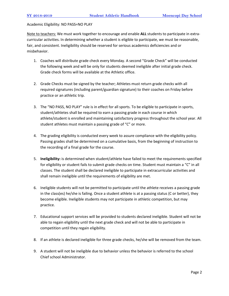Academic Eligibility: NO PASS=NO PLAY

Note to teachers: We must work together to encourage and enable **ALL** students to participate in extracurricular activities. In determining whether a student is eligible to participate, we must be reasonable, fair, and consistent. Ineligibility should be reserved for serious academics deficiencies and or misbehavior.

- 1. Coaches will distribute grade check every Monday. A second "Grade Check" will be conducted the following week and will be only for students deemed ineligible after initial grade check. Grade check forms will be available at the Athletic office.
- 2. Grade Checks must be signed by the teacher; Athletes must return grade checks with all required signatures (including parent/guardian signature) to their coaches on Friday before practice or an athletic trip.
- 3. The "NO PASS, NO PLAY" rule is in effect for all sports. To be eligible to participate in sports, student/athletes shall be required to earn a passing grade in each course in which athlete/student is enrolled and maintaining satisfactory progress throughout the school year. All student athletes must maintain a passing grade of "C" or more.
- 4. The grading eligibility is conducted every week to assure compliance with the eligibility policy. Passing grades shall be determined on a cumulative basis, from the beginning of instruction to the recording of a final grade for the course.
- 5. **Ineligibility:** is determined when student/athlete have failed to meet the requirements specified for eligibility or student fails to submit grade checks on time. Student must maintain a "C" in all classes. The student shall be declared ineligible to participate in extracurricular activities and shall remain ineligible until the requirements of eligibility are met.
- 6. Ineligible students will not be permitted to participate until the athlete receives a passing grade in the class(es) he/she is failing. Once a student athlete is at a passing status (C or better), they become eligible. Ineligible students may not participate in athletic competition, but may practice.
- 7. Educational support services will be provided to students declared ineligible. Student will not be able to regain eligibility until the next grade check and will not be able to participate in competition until they regain eligibility.
- 8. If an athlete is declared ineligible for three grade checks, he/she will be removed from the team.
- 9. A student will not be ineligible due to behavior unless the behavior is referred to the school Chief school Administrator.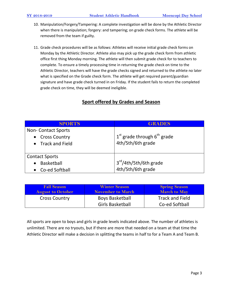- 10. Manipulation/Forgery/Tampering: A complete investigation will be done by the Athletic Director when there is manipulation; forgery: and tampering; on grade check forms. The athlete will be removed from the team if guilty.
- 11. Grade check procedures will be as follows: Athletes will receive initial grade check forms on Monday by the Athletic Director. Athlete also may pick up the grade check form from athletic office first thing Monday morning. The athlete will then submit grade check for to teachers to complete. To ensure a timely processing time in returning the grade check on time to the Athletic Director, teachers will have the grade checks signed and returned to the athlete no later what is specified on the Grade check form. The athlete will get required parent/guardian signature and have grade check turned in on Friday. If the student fails to return the completed grade check on time, they will be deemed ineligible.

| <b>SPORTS</b>                                                     | GRADES                                                         |
|-------------------------------------------------------------------|----------------------------------------------------------------|
| <b>Non-Contact Sports</b><br>• Cross Country<br>• Track and Field | $1st$ grade through 6 <sup>th</sup> grade<br>4th/5th/6th grade |
| <b>Contact Sports</b>                                             |                                                                |
| <b>Basketball</b>                                                 | $3rd/4th/5th/6th$ grade                                        |
| Co-ed Softball                                                    | 4th/5th/6th grade                                              |

### **Sport offered by Grades and Season**

| <b>Fall Season</b><br><b>August to October</b> | <b>Winter Season</b><br><b>November to March</b> | <b>Spring Season</b><br><b>March to May</b> |
|------------------------------------------------|--------------------------------------------------|---------------------------------------------|
| <b>Cross Country</b>                           | Boys Basketball                                  | <b>Track and Field</b>                      |
|                                                | <b>Girls Basketball</b>                          | Co-ed Softball                              |

All sports are open to boys and girls in grade levels indicated above. The number of athletes is unlimited. There are no tryouts, but if there are more that needed on a team at that time the Athletic Director will make a decision in splitting the teams in half to for a Team A and Team B.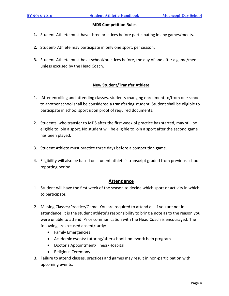#### **MDS Competition Rules**

- **1.** Student-Athlete must have three practices before participating in any games/meets.
- **2.** Student- Athlete may participate in only one sport, per season.
- **3.** Student-Athlete must be at school/practices before, the day of and after a game/meet unless excused by the Head Coach.

#### **New Student/Transfer Athlete**

- 1. After enrolling and attending classes, students changing enrollment to/from one school to another school shall be considered a transferring student. Student shall be eligible to participate in school sport upon proof of required documents.
- 2. Students, who transfer to MDS after the first week of practice has started, may still be eligible to join a sport. No student will be eligible to join a sport after the second game has been played.
- 3. Student Athlete must practice three days before a competition game.
- 4. Eligibility will also be based on student athlete's transcript graded from previous school reporting period.

#### **Attendance**

- 1. Student will have the first week of the season to decide which sport or activity in which to participate.
- 2. Missing Classes/Practice/Game: You are required to attend all. If you are not in attendance, it is the student athlete's responsibility to bring a note as to the reason you were unable to attend. Prior communication with the Head Coach is encouraged. The following are excused absent/tardy:
	- Family Emergencies
	- Academic events: tutoring/afterschool homework help program
	- Doctor's Appointment/Illness/Hospital
	- Religious Ceremony
- 3. Failure to attend classes, practices and games may result in non-participation with upcoming events.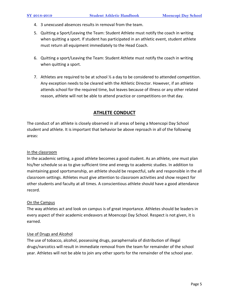- 4. 3 unexcused absences results in removal from the team.
- 5. Quitting a Sport/Leaving the Team: Student Athlete must notify the coach in writing when quitting a sport. If student has participated in an athletic event, student athlete must return all equipment immediately to the Head Coach.
- 6. Quitting a sport/Leaving the Team: Student Athlete must notify the coach in writing when quitting a sport.
- 7. Athletes are required to be at school ½ a day to be considered to attended competition. Any exception needs to be cleared with the Athletic Director. However, if an athlete attends school for the required time, but leaves because of illness or any other related reason, athlete will not be able to attend practice or competitions on that day.

### **ATHLETE CONDUCT**

The conduct of an athlete is closely observed in all areas of being a Moencopi Day School student and athlete. It is important that behavior be above reproach in all of the following areas:

#### In the classroom

In the academic setting, a good athlete becomes a good student. As an athlete, one must plan his/her schedule so as to give sufficient time and energy to academic studies. In addition to maintaining good sportsmanship, an athlete should be respectful, safe and responsible in the all classroom settings. Athletes must give attention to classroom activities and show respect for other students and faculty at all times. A conscientious athlete should have a good attendance record.

#### On the Campus

The way athletes act and look on campus is of great importance. Athletes should be leaders in every aspect of their academic endeavors at Moencopi Day School. Respect is not given, it is earned.

#### Use of Drugs and Alcohol

The use of tobacco, alcohol, possessing drugs, paraphernalia of distribution of illegal drugs/narcotics will result in immediate removal from the team for remainder of the school year. Athletes will not be able to join any other sports for the remainder of the school year.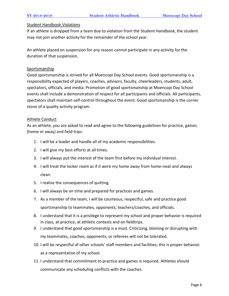#### Student Handbook Violations

If an athlete is dropped from a team due to violation from the Student Handbook, the student may not join another activity for the remainder of the school year.

An athlete placed on suspension for any reason cannot participate in any activity for the duration of that suspension.

#### Sportsmanship

Good sportsmanship is strived for all Moencopi Day School events. Good sportsmanship is a responsibility expected of players, coaches, advisors, faculty, cheerleaders, students, adult, spectators, officials, and media. Promotion of good sportsmanship at Moencopi Day School events shall include a demonstration of respect for all participants and officials. All participants, spectators shall maintain self-control throughout the event. Good sportsmanship is the corner stone of a quality activity program.

#### Athlete Conduct

As an athlete, you are asked to read and agree to the following guidelines for practice, games (home or away) and field trips:

- 1. I will be a leader and handle all of my academic responsibilities.
- 2. I will give my best efforts at all times.
- 3. I will always put the interest of the team first before my individual interest.
- 4. I will treat the locker room as if it were my home away from home-neat and always clean.
- 5. I realize the consequences of quitting.
- 6. I will always be on time and prepared for practices and games.
- 7. As a member of the team, I will be courteous, respectful, safe and practice good sportsmanship to teammates, opponents, teachers/coaches, and officials.
- 8. I understand that it is a privilege to represent my school and proper behavior is required in class, at practice, at athletic contests and on fieldtrips.
- 9. I understand that good sportsmanship is a must. Criticizing, blaming or disrupting with my teammates, coaches, opponents, or referees will not be tolerated.
- 10. I will be respectful of other schools' staff members and facilities; this is proper behavior as a representative of my school.
- 11. I understand that commitment to practice and games is required. Athletes should communicate any scheduling conflicts with the coaches.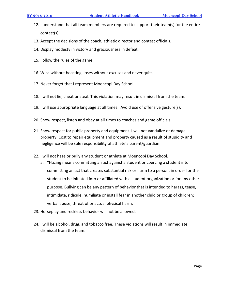- 12. I understand that all team members are required to support their team(s) for the entire contest(s).
- 13. Accept the decisions of the coach, athletic director and contest officials.
- 14. Display modesty in victory and graciousness in defeat.
- 15. Follow the rules of the game.
- 16. Wins without boasting, loses without excuses and never quits.
- 17. Never forget that I represent Moencopi Day School.
- 18. I will not lie, cheat or steal. This violation may result in dismissal from the team.
- 19. I will use appropriate language at all times. Avoid use of offensive gesture(s).
- 20. Show respect, listen and obey at all times to coaches and game officials.
- 21. Show respect for public property and equipment. I will not vandalize or damage property. Cost to repair equipment and property caused as a result of stupidity and negligence will be sole responsibility of athlete's parent/guardian.
- 22. I will not haze or bully any student or athlete at Moencopi Day School.
	- a. "Hazing means committing an act against a student or coercing a student into committing an act that creates substantial risk or harm to a person, in order for the student to be initiated into or affiliated with a student organization or for any other purpose. Bullying can be any pattern of behavior that is intended to harass, tease, intimidate, ridicule, humiliate or install fear in another child or group of children; verbal abuse, threat of or actual physical harm.
- 23. Horseplay and reckless behavior will not be allowed.
- 24. I will be alcohol, drug, and tobacco free. These violations will result in immediate dismissal from the team.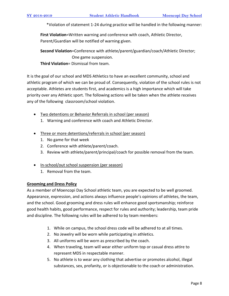\*Violation of statement 1-24 during practice will be handled in the following manner:

**First Violation**=Written warning and conference with coach, Athletic Director, Parent/Guardian will be notified of warning given.

**Second Violation**=Conference with athlete/parent/guardian/coach/Athletic Director; One game suspension.

**Third Violation**= Dismissal from team.

It is the goal of our school and MDS Athletics to have an excellent community, school and athletic program of which we can be proud of. Consequently, violation of the school rules is not acceptable. Athletes are students first, and academics is a high importance which will take priority over any Athletic sport. The following actions will be taken when the athlete receives any of the following classroom/school violation.

- Two detentions or Behavior Referrals in school (per season)
	- 1. Warning and conference with coach and Athletic Director.
- Three or more detentions/referrals in school (per season)
	- 1. No game for that week
	- 2. Conference with athlete/parent/coach.
	- 3. Review with athlete/parent/principal/coach for possible removal from the team.
- In-school/out school suspension (per season)
	- 1. Removal from the team.

#### **Grooming and Dress Policy**

As a member of Moencopi Day School athletic team, you are expected to be well groomed. Appearance, expression, and actions always influence people's opinions of athletes, the team, and the school. Good grooming and dress rules will enhance good sportsmanship; reinforce good health habits, good performance, respect for rules and authority; leadership, team pride and discipline. The following rules will be adhered to by team members:

- 1. While on campus, the school dress code will be adhered to at all times.
- 2. No Jewelry will be worn while participating in athletics.
- 3. All uniforms will be worn as prescribed by the coach.
- 4. When traveling, team will wear either uniform top or casual dress attire to represent MDS in respectable manner.
- 5. No athlete is to wear any clothing that advertise or promotes alcohol, illegal substances, sex, profanity, or is objectionable to the coach or administration.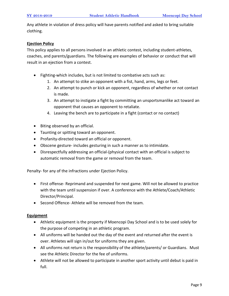Any athlete in violation of dress policy will have parents notified and asked to bring suitable clothing.

#### **Ejection Policy**

This policy applies to all persons involved in an athletic contest, including student-athletes, coaches, and parents/guardians. The following are examples of behavior or conduct that will result in an ejection from a contest.

- Fighting-which includes, but is not limited to combative acts such as:
	- 1. An attempt to stike an opponent with a fist, hand, arms, legs or feet.
	- 2. An attempt to punch or kick an opponent, regardless of whether or not contact is made.
	- 3. An attempt to instigate a fight by committing an unsportsmanlike act toward an opponent that causes an opponent to retaliate.
	- 4. Leaving the bench are to participate in a fight (contact or no contact)
- Biting observed by an official.
- Taunting or spitting toward an opponent.
- Profanity-directed toward an official or opponent.
- Obscene gesture- includes gesturing in such a manner as to intimidate.
- Disrespectfully addressing an official-(physical contact with an official is subject to automatic removal from the game or removal from the team.

Penalty- for any of the infractions under Ejection Policy.

- First offense- Reprimand and suspended for next game. Will not be allowed to practice with the team until suspension if over. A conference with the Athlete/Coach/Athletic Director/Principal.
- Second Offence- Athlete will be removed from the team.

#### **Equipment**

- Athletic equipment is the property if Moencopi Day School and is to be used solely for the purpose of competing in an athletic program.
- All uniforms will be handed out the day of the event and returned after the event is over. Athletes will sign in/out for uniforms they are given.
- All uniforms not return is the responsibility of the athlete/parents/ or Guardians. Must see the Athletic Director for the fee of uniforms.
- Athlete will not be allowed to participate in another sport activity until debut is paid in full.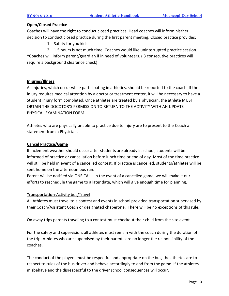#### **Open/Closed Practice**

Coaches will have the right to conduct closed practices. Head coaches will inform his/her decision to conduct closed practice during the first parent meeting. Closed practice provides:

1. Safety for you kids.

2. 1.5 hours is not much time. Coaches would like uninterrupted practice session. \*Coaches will inform parent/guardian if in need of volunteers. ( 3 consecutive practices will require a background clearance check)

#### **Injuries/Illness**

All injuries, which occur while participating in athletics, should be reported to the coach. If the injury requires medical attention by a doctor or treatment center, it will be necessary to have a Student injury form completed. Once athletes are treated by a physician, the athlete MUST OBTAIN THE DOCOTOR'S PERMISSION TO RETURN TO THE ACTIVITY WITH AN UPDATE PHYSICAL EXAMINATION FORM.

Athletes who are physically unable to practice due to injury are to present to the Coach a statement from a Physician.

#### **Cancel Practice/Game**

If inclement weather should occur after students are already in school, students will be informed of practice or cancellation before lunch time or end of day. Most of the time practice will still be held in event of a cancelled contest. If practice is cancelled, students/athletes will be sent home on the afternoon bus run.

Parent will be notified via ONE CALL. In the event of a cancelled game, we will make it our efforts to reschedule the game to a later date, which will give enough time for planning.

#### **Transportation-**Activity bus/Travel

All Athletes must travel to a contest and events in school provided transportation supervised by their Coach/Assistant Coach or designated chaperone. There will be no exceptions of this rule.

On away trips parents traveling to a contest must checkout their child from the site event.

For the safety and supervision, all athletes must remain with the coach during the duration of the trip. Athletes who are supervised by their parents are no longer the responsibility of the coaches.

The conduct of the players must be respectful and appropriate on the bus, the athletes are to respect to rules of the bus driver and behave accordingly to and from the game. If the athletes misbehave and the disrespectful to the driver school consequences will occur.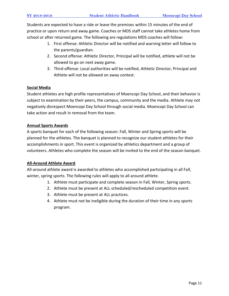Students are expected to have a ride or leave the premises within 15 minutes of the end of practice or upon return and away game. Coaches or MDS staff cannot take athletes home from school or after returned game. The following are regulations MDS coaches will follow:

- 1. First offense: Athletic Director will be notified and warning letter will follow to the parents/guardian.
- 2. Second offense: Athletic Director, Principal will be notified, athlete will not be allowed to go on next away game.
- 3. Third offense: Local authorities will be notified, Athletic Director, Principal and Athlete will not be allowed on away contest.

#### **Social Media**

Student athletes are high profile representatives of Moencopi Day School, and their behavior is subject to examination by their peers, the campus, community and the media. Athlete may not negatively disrespect Moencopi Day School through social media. Moencopi Day School can take action and result in removal from the team.

#### **Annual Sports Awards**

A sports banquet for each of the following season: Fall, Winter and Spring sports will be planned for the athletes. The banquet is planned to recognize our student athletes for their accomplishments in sport. This event is organized by athletics department and a group of volunteers. Athletes who complete the season will be invited to the end of the season banquet.

#### **All-Around Athlete Award**

All-around athlete award is awarded to athletes who accomplished participating in all Fall, winter, spring sports. The following rules will apply to all around athlete.

- 1. Athlete must participate and complete season in Fall, Winter, Spring sports.
- 2. Athlete must be present at ALL scheduled/rescheduled competition event.
- 3. Athlete must be present at ALL practices.
- 4. Athlete must not be ineligible during the duration of their time in any sports program.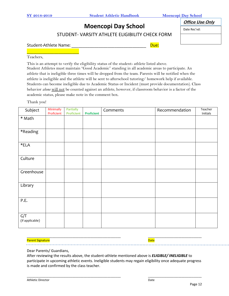# **Moencopi Day School**

| <b>Office Use Only</b> |  |
|------------------------|--|
|                        |  |

Date Rec'vd:

STUDENT- VARSITY ATHLETE ELIGIBILITY CHECK FORM

| Student-Athlete Name: |  |
|-----------------------|--|
|                       |  |

\_\_\_\_\_\_\_\_\_\_\_\_\_\_\_\_\_\_\_\_\_\_\_

#### Teachers,

This is an attempt to verify the eligibility status of the student- athlete listed above. Student Athletes must maintain "Good Academic" standing in all academic areas to participate. An athlete that is ineligible three times will be dropped from the team. Parents will be notified when the athlete is ineligible and the athlete will be sent to afterschool tutoring/ homework help if available. Students can become ineligible due to Academic Status or Incident (must provide documentation). Class behavior *alone* will not be counted against an athlete, however, if classroom behavior is a factor of the academic status, please make note in the comment box.

Thank you!

| Subject                | Minimally<br>Proficient | <b>Partially</b><br><b>Proficient</b> | Proficient | Comments | Recommendation | Teacher<br>Initials |
|------------------------|-------------------------|---------------------------------------|------------|----------|----------------|---------------------|
| * Math                 |                         |                                       |            |          |                |                     |
| *Reading               |                         |                                       |            |          |                |                     |
| $*ELA$                 |                         |                                       |            |          |                |                     |
| Culture                |                         |                                       |            |          |                |                     |
| Greenhouse             |                         |                                       |            |          |                |                     |
| Library                |                         |                                       |            |          |                |                     |
| P.E.                   |                         |                                       |            |          |                |                     |
| G/T<br>(if applicable) |                         |                                       |            |          |                |                     |

Parent Signature Date of the Date of the Date of the Date of the Date of the Date of the Date of the Date of the Date of the Date of the Date of the Date of the Date of the Date of the Date of the Date of the Date of the D . . . . . . . . . . . . . . . . . .

\_\_\_\_\_\_\_\_\_\_\_\_\_\_\_\_\_\_\_\_\_\_\_\_\_\_\_\_\_\_\_\_\_\_\_\_\_\_\_\_\_\_\_\_\_\_\_\_\_\_\_\_\_\_\_\_ \_\_\_\_\_\_\_\_\_\_\_\_\_\_\_\_\_\_\_\_\_\_\_\_\_\_\_\_\_\_\_\_

Dear Parents/ Guardians,

After reviewing the results above, the student-athlete mentioned above is *ELIGIBLE/ INELIGIBLE* to participate in upcoming athletic events. Ineligible students may regain eligibility once adequate progress is made and confirmed by the class teacher.

\_\_\_\_\_\_\_\_\_\_\_\_\_\_\_\_\_\_\_\_\_\_\_\_\_\_\_\_\_\_\_\_\_\_\_\_\_\_\_\_\_\_\_\_\_\_\_\_\_\_\_\_\_\_\_\_ \_\_\_\_\_\_\_\_\_\_\_\_\_\_\_\_\_\_\_\_\_\_\_\_\_\_\_\_\_\_\_\_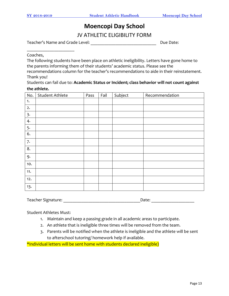## **Moencopi Day School**

JV ATHLETIC ELIGIBILITY FORM

Teacher's Name and Grade Level: \_\_\_\_\_\_\_\_\_\_\_\_\_\_\_\_\_\_\_\_\_\_\_\_\_\_\_\_\_ Due Date:

\_\_\_\_\_\_\_\_\_\_\_\_\_\_\_\_\_\_\_\_\_

Coaches,

The following students have been place on athletic ineligibility. Letters have gone home to the parents informing them of their students' academic status. Please see the recommendations column for the teacher's recommendations to aide in their reinstatement. Thank you!

Students can fail due to: **Academic Status or Incident; class behavior will not count against the athlete.**

| No. | Student Athlete | Pass | Fail | Subject | Recommendation |
|-----|-----------------|------|------|---------|----------------|
| 1.  |                 |      |      |         |                |
| 2.  |                 |      |      |         |                |
| 3.  |                 |      |      |         |                |
| 4.  |                 |      |      |         |                |
| 5.  |                 |      |      |         |                |
| 6.  |                 |      |      |         |                |
| 7.  |                 |      |      |         |                |
| 8.  |                 |      |      |         |                |
| 9.  |                 |      |      |         |                |
| 10. |                 |      |      |         |                |
| 11. |                 |      |      |         |                |
| 12. |                 |      |      |         |                |
| 13. |                 |      |      |         |                |

Teacher Signature: \_\_\_\_\_\_\_\_\_\_\_\_\_\_\_\_\_\_\_\_\_\_\_\_\_\_\_\_\_\_\_\_\_\_Date: \_\_\_\_\_\_\_\_\_\_\_\_\_\_\_\_\_\_\_

Student Athletes Must:

- 1. Maintain and keep a passing grade in all academic areas to participate.
- 2. An athlete that is ineligible three times will be removed from the team.
- 3. Parents will be notified when the athlete is ineligible and the athlete will be sent to afterschool tutoring/ homework help if available.

\*Individual letters will be sent home with students declared ineligible)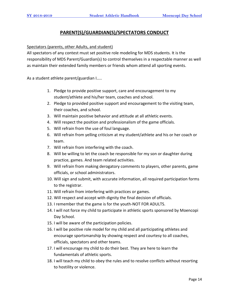## **PARENT(S)/GUARDIAN(S)/SPECTATORS CONDUCT**

#### Spectators (parents, other Adults, and student)

All spectators of any contest must set positive role modeling for MDS students. It is the responsibility of MDS Parent/Guardian(s) to control themselves in a respectable manner as well as maintain their extended family members or friends whom attend all sporting events.

As a student athlete parent/guardian I…..

- 1. Pledge to provide positive support, care and encouragement to my student/athlete and his/her team, coaches and school.
- 2. Pledge to provided positive support and encouragement to the visiting team, their coaches, and school.
- 3. Will maintain positive behavior and attitude at all athletic events.
- 4. Will respect the position and professionalism of the game officials.
- 5. Will refrain from the use of foul language.
- 6. Will refrain from yelling criticism at my student/athlete and his or her coach or team.
- 7. Will refrain from interfering with the coach.
- 8. Will be willing to let the coach be responsible for my son or daughter during practice, games. And team related activities.
- 9. Will refrain from making derogatory comments to players, other parents, game officials, or school administrators.
- 10. Will sign and submit, with accurate information, all required participation forms to the registrar.
- 11. Will refrain from interfering with practices or games.
- 12. Will respect and accept with dignity the final decision of officials.
- 13. I remember that the game is for the youth-NOT FOR ADULTS.
- 14. I will not force my child to participate in athletic sports sponsored by Moencopi Day School.
- 15. I will be aware of the participation policies.
- 16. I will be positive role model for my child and all participating athletes and encourage sportsmanship by showing respect and courtesy to all coaches, officials, spectators and other teams.
- 17. I will encourage my child to do their best. They are here to learn the fundamentals of athletic sports.
- 18. I will teach my child to obey the rules and to resolve conflicts without resorting to hostility or violence.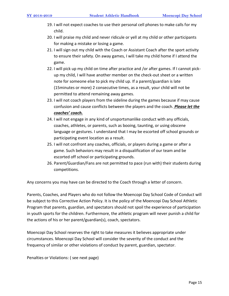- 19. I will not expect coaches to use their personal cell phones to make calls for my child.
- 20. I will praise my child and never ridicule or yell at my child or other participants for making a mistake or losing a game.
- 21. I will sign out my child with the Coach or Assistant Coach after the sport activity to ensure their safety. On away games, I will take my child home if I attend the game.
- 22. I will pick up my child on time after practice and /or after games. If I cannot pickup my child, I will have another member on the check-out sheet or a written note for someone else to pick my child up. If a parent/guardian is late (15minutes or more) 2 consecutive times, as a result, your child will not be permitted to attend remaining away games.
- 23. I will not coach players from the sideline during the games because if may cause confusion and cause conflicts between the players and the coach. *Please let the coaches' coach.*
- 24. I will not engage in any kind of unsportsmanlike conduct with any officials, coaches, athletes, or parents, such as booing, taunting, or using obscene language or gestures. I understand that I may be escorted off school grounds or participating event location as a result.
- 25. I will not confront any coaches, officials, or players during a game or after a game. Such behaviors may result in a disqualification of our team and be escorted off school or participating grounds.
- 26. Parent/Guardian/Fans are not permitted to pace (run with) their students during competitions.

Any concerns you may have can be directed to the Coach through a letter of concern.

Parents, Coaches, and Players who do not follow the Moencopi Day School Code of Conduct will be subject to this Corrective Action Policy. It is the policy of the Moencopi Day School Athletic Program that parents, guardian, and spectators should not spoil the experience of participation in youth sports for the children. Furthermore, the athletic program will never punish a child for the actions of his or her parent/guardian(s), coach, spectators.

Moencopi Day School reserves the right to take measures it believes appropriate under circumstances. Moencopi Day School will consider the severity of the conduct and the frequency of similar or other violations of conduct by parent, guardian, spectator.

Penalties or Violations: ( see next page)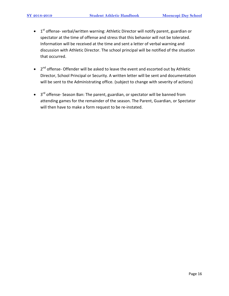- $\bullet$  1<sup>st</sup> offense-verbal/written warning: Athletic Director will notify parent, guardian or spectator at the time of offense and stress that this behavior will not be tolerated. Information will be received at the time and sent a letter of verbal warning and discussion with Athletic Director. The school principal will be notified of the situation that occurred.
- $\bullet$  2<sup>nd</sup> offense- Offender will be asked to leave the event and escorted out by Athletic Director, School Principal or Security. A written letter will be sent and documentation will be sent to the Administrating office. (subject to change with severity of actions)
- $\bullet$  3<sup>rd</sup> offense- Season Ban: The parent, guardian, or spectator will be banned from attending games for the remainder of the season. The Parent, Guardian, or Spectator will then have to make a form request to be re-instated.